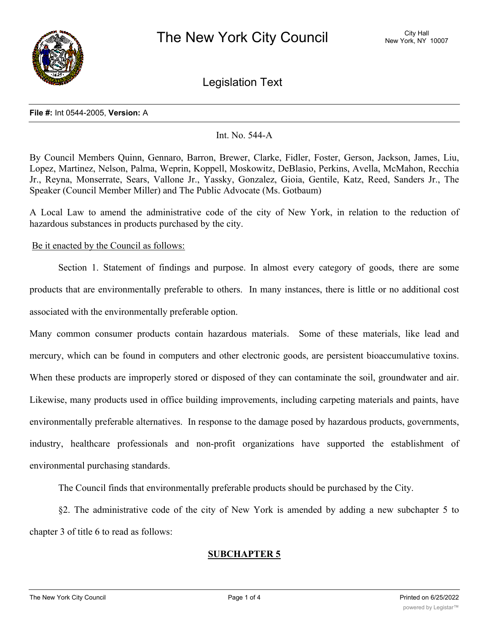

Legislation Text

### **File #:** Int 0544-2005, **Version:** A

## Int. No. 544-A

By Council Members Quinn, Gennaro, Barron, Brewer, Clarke, Fidler, Foster, Gerson, Jackson, James, Liu, Lopez, Martinez, Nelson, Palma, Weprin, Koppell, Moskowitz, DeBlasio, Perkins, Avella, McMahon, Recchia Jr., Reyna, Monserrate, Sears, Vallone Jr., Yassky, Gonzalez, Gioia, Gentile, Katz, Reed, Sanders Jr., The Speaker (Council Member Miller) and The Public Advocate (Ms. Gotbaum)

A Local Law to amend the administrative code of the city of New York, in relation to the reduction of hazardous substances in products purchased by the city.

## Be it enacted by the Council as follows:

Section 1. Statement of findings and purpose. In almost every category of goods, there are some products that are environmentally preferable to others. In many instances, there is little or no additional cost associated with the environmentally preferable option.

Many common consumer products contain hazardous materials. Some of these materials, like lead and mercury, which can be found in computers and other electronic goods, are persistent bioaccumulative toxins. When these products are improperly stored or disposed of they can contaminate the soil, groundwater and air. Likewise, many products used in office building improvements, including carpeting materials and paints, have environmentally preferable alternatives. In response to the damage posed by hazardous products, governments, industry, healthcare professionals and non-profit organizations have supported the establishment of environmental purchasing standards.

The Council finds that environmentally preferable products should be purchased by the City.

§2. The administrative code of the city of New York is amended by adding a new subchapter 5 to chapter 3 of title 6 to read as follows:

# **SUBCHAPTER 5**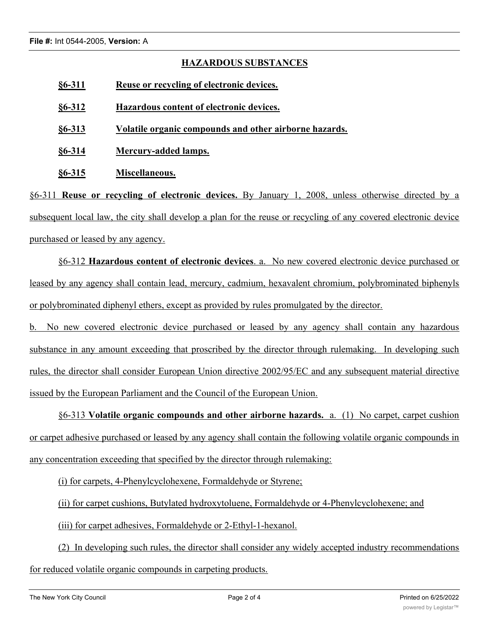# **HAZARDOUS SUBSTANCES**

- **§6-311 Reuse or recycling of electronic devices.**
- **§6-312 Hazardous content of electronic devices.**

**§6-313 Volatile organic compounds and other airborne hazards.**

**§6-314 Mercury-added lamps.**

**§6-315 Miscellaneous.**

§6-311 **Reuse or recycling of electronic devices.** By January 1, 2008, unless otherwise directed by a subsequent local law, the city shall develop a plan for the reuse or recycling of any covered electronic device purchased or leased by any agency.

§6-312 **Hazardous content of electronic devices**. a. No new covered electronic device purchased or leased by any agency shall contain lead, mercury, cadmium, hexavalent chromium, polybrominated biphenyls or polybrominated diphenyl ethers, except as provided by rules promulgated by the director.

b. No new covered electronic device purchased or leased by any agency shall contain any hazardous substance in any amount exceeding that proscribed by the director through rulemaking. In developing such rules, the director shall consider European Union directive 2002/95/EC and any subsequent material directive issued by the European Parliament and the Council of the European Union.

§6-313 **Volatile organic compounds and other airborne hazards.** a. (1) No carpet, carpet cushion or carpet adhesive purchased or leased by any agency shall contain the following volatile organic compounds in any concentration exceeding that specified by the director through rulemaking:

(i) for carpets, 4-Phenylcyclohexene, Formaldehyde or Styrene;

(ii) for carpet cushions, Butylated hydroxytoluene, Formaldehyde or 4-Phenylcyclohexene; and

(iii) for carpet adhesives, Formaldehyde or 2-Ethyl-1-hexanol.

(2) In developing such rules, the director shall consider any widely accepted industry recommendations for reduced volatile organic compounds in carpeting products.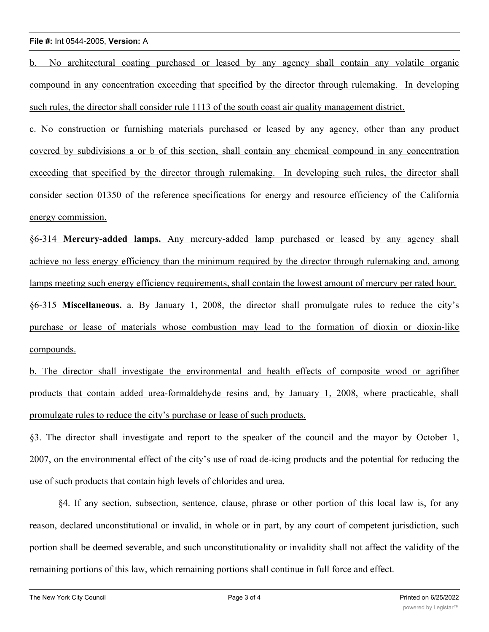### **File #:** Int 0544-2005, **Version:** A

b. No architectural coating purchased or leased by any agency shall contain any volatile organic compound in any concentration exceeding that specified by the director through rulemaking. In developing such rules, the director shall consider rule 1113 of the south coast air quality management district.

c. No construction or furnishing materials purchased or leased by any agency, other than any product covered by subdivisions a or b of this section, shall contain any chemical compound in any concentration exceeding that specified by the director through rulemaking. In developing such rules, the director shall consider section 01350 of the reference specifications for energy and resource efficiency of the California energy commission.

§6-314 **Mercury-added lamps.** Any mercury-added lamp purchased or leased by any agency shall achieve no less energy efficiency than the minimum required by the director through rulemaking and, among lamps meeting such energy efficiency requirements, shall contain the lowest amount of mercury per rated hour. §6-315 **Miscellaneous.** a. By January 1, 2008, the director shall promulgate rules to reduce the city's purchase or lease of materials whose combustion may lead to the formation of dioxin or dioxin-like compounds.

b. The director shall investigate the environmental and health effects of composite wood or agrifiber products that contain added urea-formaldehyde resins and, by January 1, 2008, where practicable, shall promulgate rules to reduce the city's purchase or lease of such products.

§3. The director shall investigate and report to the speaker of the council and the mayor by October 1, 2007, on the environmental effect of the city's use of road de-icing products and the potential for reducing the use of such products that contain high levels of chlorides and urea.

§4. If any section, subsection, sentence, clause, phrase or other portion of this local law is, for any reason, declared unconstitutional or invalid, in whole or in part, by any court of competent jurisdiction, such portion shall be deemed severable, and such unconstitutionality or invalidity shall not affect the validity of the remaining portions of this law, which remaining portions shall continue in full force and effect.